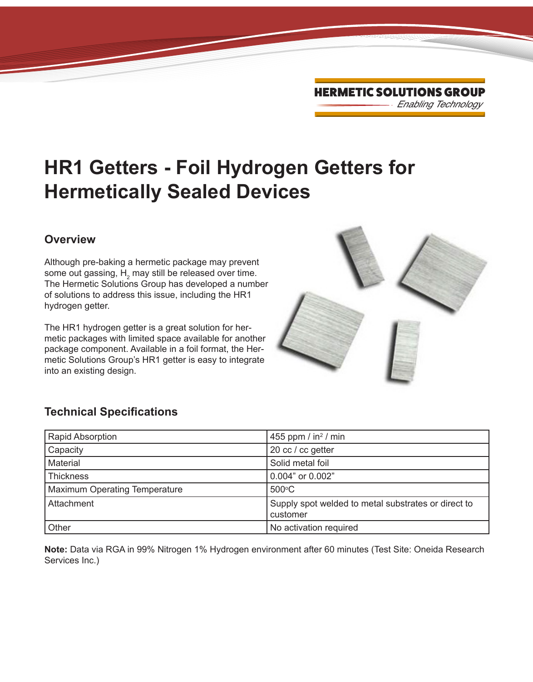# **HR1 Getters - Foil Hydrogen Getters for Hermetically Sealed Devices**

#### **Overview**

Although pre-baking a hermetic package may prevent some out gassing,  ${\sf H}_{_2}$  may still be released over time. The Hermetic Solutions Group has developed a number of solutions to address this issue, including the HR1 hydrogen getter.

The HR1 hydrogen getter is a great solution for hermetic packages with limited space available for another package component. Available in a foil format, the Hermetic Solutions Group's HR1 getter is easy to integrate into an existing design.



### **Technical Specifications**

| <b>Rapid Absorption</b>              | 455 ppm / $in2$ / min                                           |
|--------------------------------------|-----------------------------------------------------------------|
| Capacity                             | 20 cc / cc getter                                               |
| Material                             | Solid metal foil                                                |
| Thickness                            | 0.004" or 0.002"                                                |
| <b>Maximum Operating Temperature</b> | $500^{\circ}$ C                                                 |
| Attachment                           | Supply spot welded to metal substrates or direct to<br>customer |
| Other                                | No activation required                                          |

**Note:** Data via RGA in 99% Nitrogen 1% Hydrogen environment after 60 minutes (Test Site: Oneida Research Services Inc.)